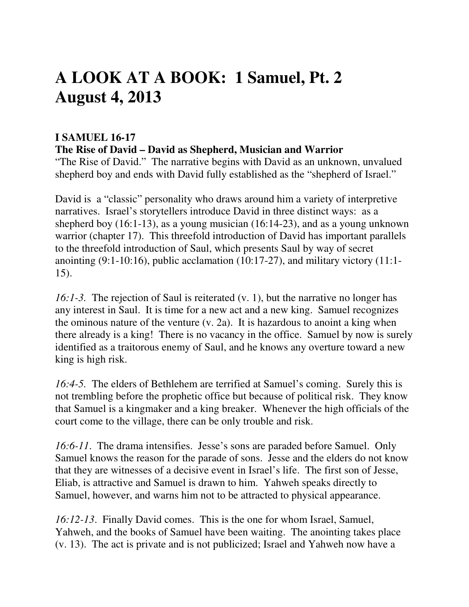# **A LOOK AT A BOOK: 1 Samuel, Pt. 2 August 4, 2013**

## **I SAMUEL 16-17**

**The Rise of David – David as Shepherd, Musician and Warrior** 

"The Rise of David." The narrative begins with David as an unknown, unvalued shepherd boy and ends with David fully established as the "shepherd of Israel."

David is a "classic" personality who draws around him a variety of interpretive narratives. Israel's storytellers introduce David in three distinct ways: as a shepherd boy (16:1-13), as a young musician (16:14-23), and as a young unknown warrior (chapter 17). This threefold introduction of David has important parallels to the threefold introduction of Saul, which presents Saul by way of secret anointing (9:1-10:16), public acclamation (10:17-27), and military victory (11:1- 15).

*16:1-3.* The rejection of Saul is reiterated (v. 1), but the narrative no longer has any interest in Saul. It is time for a new act and a new king. Samuel recognizes the ominous nature of the venture (v. 2a). It is hazardous to anoint a king when there already is a king! There is no vacancy in the office. Samuel by now is surely identified as a traitorous enemy of Saul, and he knows any overture toward a new king is high risk.

*16:4-5.* The elders of Bethlehem are terrified at Samuel's coming. Surely this is not trembling before the prophetic office but because of political risk. They know that Samuel is a kingmaker and a king breaker. Whenever the high officials of the court come to the village, there can be only trouble and risk.

*16:6-11*. The drama intensifies. Jesse's sons are paraded before Samuel. Only Samuel knows the reason for the parade of sons. Jesse and the elders do not know that they are witnesses of a decisive event in Israel's life. The first son of Jesse, Eliab, is attractive and Samuel is drawn to him. Yahweh speaks directly to Samuel, however, and warns him not to be attracted to physical appearance.

*16:12-13*. Finally David comes. This is the one for whom Israel, Samuel, Yahweh, and the books of Samuel have been waiting. The anointing takes place (v. 13). The act is private and is not publicized; Israel and Yahweh now have a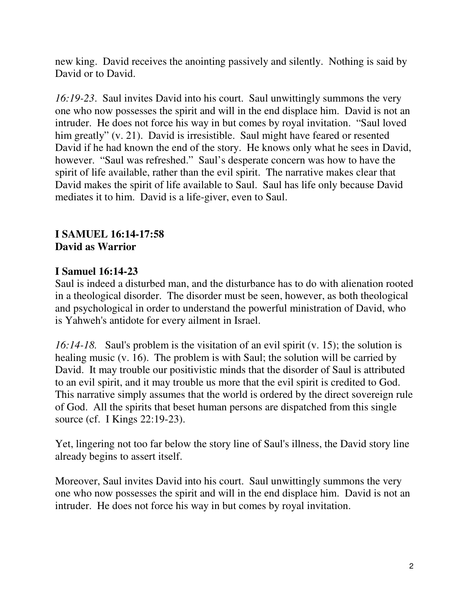new king. David receives the anointing passively and silently. Nothing is said by David or to David.

*16:19-23*. Saul invites David into his court. Saul unwittingly summons the very one who now possesses the spirit and will in the end displace him. David is not an intruder. He does not force his way in but comes by royal invitation. "Saul loved him greatly" (v. 21). David is irresistible. Saul might have feared or resented David if he had known the end of the story. He knows only what he sees in David, however. "Saul was refreshed." Saul's desperate concern was how to have the spirit of life available, rather than the evil spirit. The narrative makes clear that David makes the spirit of life available to Saul. Saul has life only because David mediates it to him. David is a life-giver, even to Saul.

## **I SAMUEL 16:14-17:58 David as Warrior**

## **I Samuel 16:14-23**

Saul is indeed a disturbed man, and the disturbance has to do with alienation rooted in a theological disorder. The disorder must be seen, however, as both theological and psychological in order to understand the powerful ministration of David, who is Yahweh's antidote for every ailment in Israel.

*16:14-18.* Saul's problem is the visitation of an evil spirit (v. 15); the solution is healing music (v. 16). The problem is with Saul; the solution will be carried by David. It may trouble our positivistic minds that the disorder of Saul is attributed to an evil spirit, and it may trouble us more that the evil spirit is credited to God. This narrative simply assumes that the world is ordered by the direct sovereign rule of God. All the spirits that beset human persons are dispatched from this single source (cf. I Kings 22:19-23).

Yet, lingering not too far below the story line of Saul's illness, the David story line already begins to assert itself.

Moreover, Saul invites David into his court. Saul unwittingly summons the very one who now possesses the spirit and will in the end displace him. David is not an intruder. He does not force his way in but comes by royal invitation.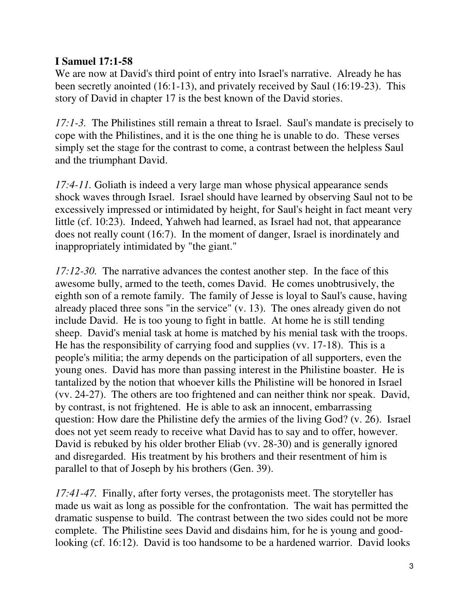## **I Samuel 17:1-58**

We are now at David's third point of entry into Israel's narrative. Already he has been secretly anointed (16:1-13), and privately received by Saul (16:19-23). This story of David in chapter 17 is the best known of the David stories.

*17:1-3.* The Philistines still remain a threat to Israel. Saul's mandate is precisely to cope with the Philistines, and it is the one thing he is unable to do. These verses simply set the stage for the contrast to come, a contrast between the helpless Saul and the triumphant David.

*17:4-11.* Goliath is indeed a very large man whose physical appearance sends shock waves through Israel. Israel should have learned by observing Saul not to be excessively impressed or intimidated by height, for Saul's height in fact meant very little (cf. 10:23). Indeed, Yahweh had learned, as Israel had not, that appearance does not really count (16:7). In the moment of danger, Israel is inordinately and inappropriately intimidated by "the giant."

*17:12-30.* The narrative advances the contest another step. In the face of this awesome bully, armed to the teeth, comes David. He comes unobtrusively, the eighth son of a remote family. The family of Jesse is loyal to Saul's cause, having already placed three sons "in the service" (v. 13). The ones already given do not include David. He is too young to fight in battle. At home he is still tending sheep. David's menial task at home is matched by his menial task with the troops. He has the responsibility of carrying food and supplies (vv. 17-18). This is a people's militia; the army depends on the participation of all supporters, even the young ones. David has more than passing interest in the Philistine boaster. He is tantalized by the notion that whoever kills the Philistine will be honored in Israel (vv. 24-27). The others are too frightened and can neither think nor speak. David, by contrast, is not frightened. He is able to ask an innocent, embarrassing question: How dare the Philistine defy the armies of the living God? (v. 26). Israel does not yet seem ready to receive what David has to say and to offer, however. David is rebuked by his older brother Eliab (vv. 28-30) and is generally ignored and disregarded. His treatment by his brothers and their resentment of him is parallel to that of Joseph by his brothers (Gen. 39).

*17:41-47.* Finally, after forty verses, the protagonists meet. The storyteller has made us wait as long as possible for the confrontation. The wait has permitted the dramatic suspense to build. The contrast between the two sides could not be more complete. The Philistine sees David and disdains him, for he is young and goodlooking (cf. 16:12). David is too handsome to be a hardened warrior. David looks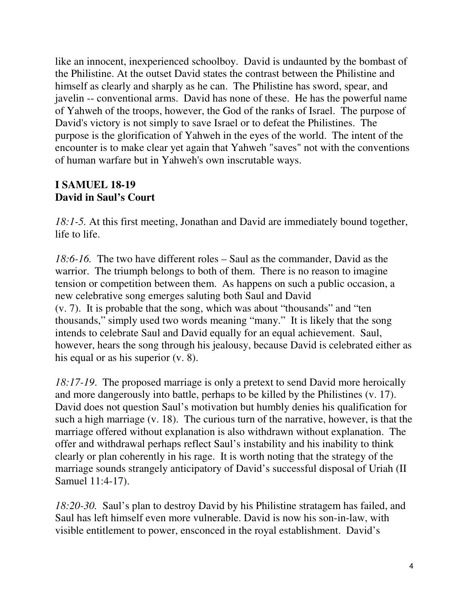like an innocent, inexperienced schoolboy. David is undaunted by the bombast of the Philistine. At the outset David states the contrast between the Philistine and himself as clearly and sharply as he can. The Philistine has sword, spear, and javelin -- conventional arms. David has none of these. He has the powerful name of Yahweh of the troops, however, the God of the ranks of Israel. The purpose of David's victory is not simply to save Israel or to defeat the Philistines. The purpose is the glorification of Yahweh in the eyes of the world. The intent of the encounter is to make clear yet again that Yahweh "saves" not with the conventions of human warfare but in Yahweh's own inscrutable ways.

#### **I SAMUEL 18-19 David in Saul's Court**

*18:1-5.* At this first meeting, Jonathan and David are immediately bound together, life to life.

*18:6-16.* The two have different roles – Saul as the commander, David as the warrior. The triumph belongs to both of them. There is no reason to imagine tension or competition between them. As happens on such a public occasion, a new celebrative song emerges saluting both Saul and David (v. 7). It is probable that the song, which was about "thousands" and "ten thousands," simply used two words meaning "many." It is likely that the song intends to celebrate Saul and David equally for an equal achievement. Saul, however, hears the song through his jealousy, because David is celebrated either as his equal or as his superior (v. 8).

*18:17-19*. The proposed marriage is only a pretext to send David more heroically and more dangerously into battle, perhaps to be killed by the Philistines (v. 17). David does not question Saul's motivation but humbly denies his qualification for such a high marriage (v. 18). The curious turn of the narrative, however, is that the marriage offered without explanation is also withdrawn without explanation. The offer and withdrawal perhaps reflect Saul's instability and his inability to think clearly or plan coherently in his rage. It is worth noting that the strategy of the marriage sounds strangely anticipatory of David's successful disposal of Uriah (II Samuel 11:4-17).

*18:20-30.* Saul's plan to destroy David by his Philistine stratagem has failed, and Saul has left himself even more vulnerable. David is now his son-in-law, with visible entitlement to power, ensconced in the royal establishment. David's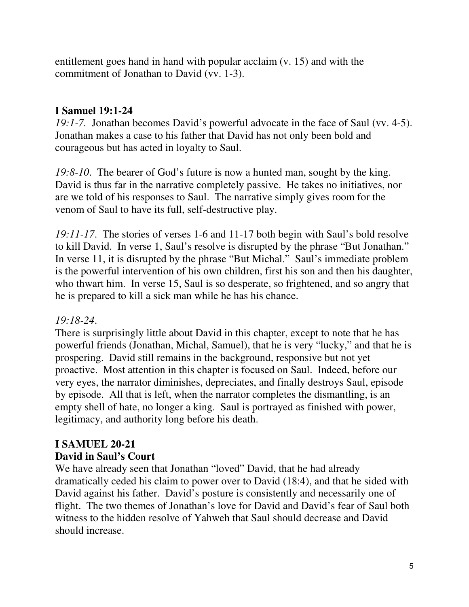entitlement goes hand in hand with popular acclaim (v. 15) and with the commitment of Jonathan to David (vv. 1-3).

## **I Samuel 19:1-24**

*19:1-7.* Jonathan becomes David's powerful advocate in the face of Saul (vv. 4-5). Jonathan makes a case to his father that David has not only been bold and courageous but has acted in loyalty to Saul.

*19:8-10*. The bearer of God's future is now a hunted man, sought by the king. David is thus far in the narrative completely passive. He takes no initiatives, nor are we told of his responses to Saul. The narrative simply gives room for the venom of Saul to have its full, self-destructive play.

*19:11-17*. The stories of verses 1-6 and 11-17 both begin with Saul's bold resolve to kill David. In verse 1, Saul's resolve is disrupted by the phrase "But Jonathan." In verse 11, it is disrupted by the phrase "But Michal." Saul's immediate problem is the powerful intervention of his own children, first his son and then his daughter, who thwart him. In verse 15, Saul is so desperate, so frightened, and so angry that he is prepared to kill a sick man while he has his chance.

# *19:18-24*.

There is surprisingly little about David in this chapter, except to note that he has powerful friends (Jonathan, Michal, Samuel), that he is very "lucky," and that he is prospering. David still remains in the background, responsive but not yet proactive. Most attention in this chapter is focused on Saul. Indeed, before our very eyes, the narrator diminishes, depreciates, and finally destroys Saul, episode by episode. All that is left, when the narrator completes the dismantling, is an empty shell of hate, no longer a king. Saul is portrayed as finished with power, legitimacy, and authority long before his death.

## **I SAMUEL 20-21 David in Saul's Court**

We have already seen that Jonathan "loved" David, that he had already dramatically ceded his claim to power over to David (18:4), and that he sided with David against his father. David's posture is consistently and necessarily one of flight. The two themes of Jonathan's love for David and David's fear of Saul both witness to the hidden resolve of Yahweh that Saul should decrease and David should increase.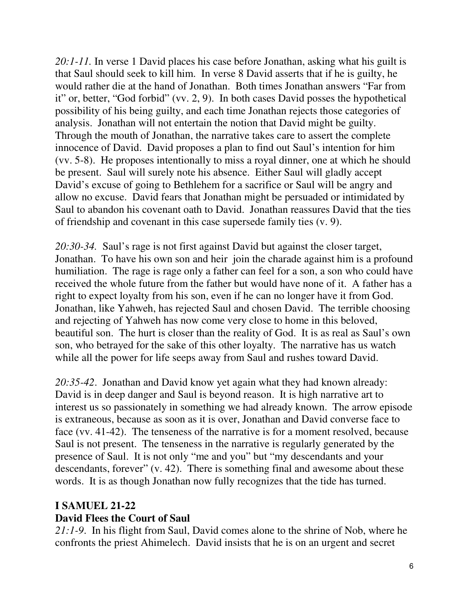*20:1-11.* In verse 1 David places his case before Jonathan, asking what his guilt is that Saul should seek to kill him. In verse 8 David asserts that if he is guilty, he would rather die at the hand of Jonathan. Both times Jonathan answers "Far from it" or, better, "God forbid" (vv. 2, 9). In both cases David posses the hypothetical possibility of his being guilty, and each time Jonathan rejects those categories of analysis. Jonathan will not entertain the notion that David might be guilty. Through the mouth of Jonathan, the narrative takes care to assert the complete innocence of David. David proposes a plan to find out Saul's intention for him (vv. 5-8). He proposes intentionally to miss a royal dinner, one at which he should be present. Saul will surely note his absence. Either Saul will gladly accept David's excuse of going to Bethlehem for a sacrifice or Saul will be angry and allow no excuse. David fears that Jonathan might be persuaded or intimidated by Saul to abandon his covenant oath to David. Jonathan reassures David that the ties of friendship and covenant in this case supersede family ties (v. 9).

*20:30-34.* Saul's rage is not first against David but against the closer target, Jonathan. To have his own son and heir join the charade against him is a profound humiliation. The rage is rage only a father can feel for a son, a son who could have received the whole future from the father but would have none of it. A father has a right to expect loyalty from his son, even if he can no longer have it from God. Jonathan, like Yahweh, has rejected Saul and chosen David. The terrible choosing and rejecting of Yahweh has now come very close to home in this beloved, beautiful son. The hurt is closer than the reality of God. It is as real as Saul's own son, who betrayed for the sake of this other loyalty. The narrative has us watch while all the power for life seeps away from Saul and rushes toward David.

*20:35-42*. Jonathan and David know yet again what they had known already: David is in deep danger and Saul is beyond reason. It is high narrative art to interest us so passionately in something we had already known. The arrow episode is extraneous, because as soon as it is over, Jonathan and David converse face to face (vv. 41-42). The tenseness of the narrative is for a moment resolved, because Saul is not present. The tenseness in the narrative is regularly generated by the presence of Saul. It is not only "me and you" but "my descendants and your descendants, forever" (v. 42). There is something final and awesome about these words. It is as though Jonathan now fully recognizes that the tide has turned.

## **I SAMUEL 21-22**

#### **David Flees the Court of Saul**

*21:1-9*. In his flight from Saul, David comes alone to the shrine of Nob, where he confronts the priest Ahimelech. David insists that he is on an urgent and secret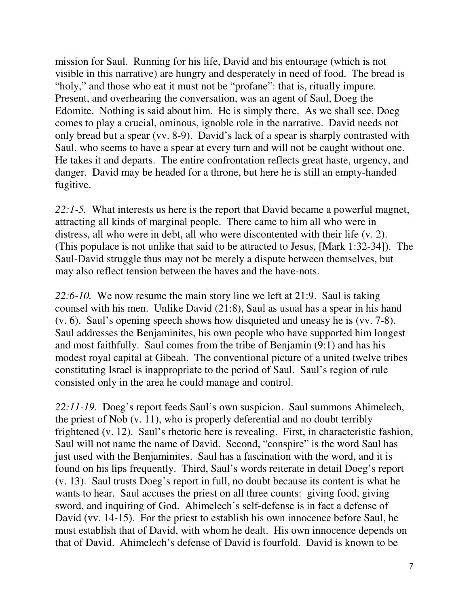mission for Saul. Running for his life, David and his entourage (which is not visible in this narrative) are hungry and desperately in need of food. The bread is "holy," and those who eat it must not be "profane": that is, ritually impure. Present, and overhearing the conversation, was an agent of Saul, Doeg the Edomite. Nothing is said about him. He is simply there. As we shall see, Doeg comes to play a crucial, ominous, ignoble role in the narrative. David needs not only bread but a spear (vv. 8-9). David's lack of a spear is sharply contrasted with Saul, who seems to have a spear at every turn and will not be caught without one. He takes it and departs. The entire confrontation reflects great haste, urgency, and danger. David may be headed for a throne, but here he is still an empty-handed fugitive.

*22:1-5.* What interests us here is the report that David became a powerful magnet, attracting all kinds of marginal people. There came to him all who were in distress, all who were in debt, all who were discontented with their life (v. 2). (This populace is not unlike that said to be attracted to Jesus, [Mark 1:32-34]). The Saul-David struggle thus may not be merely a dispute between themselves, but may also reflect tension between the haves and the have-nots.

*22:6-10.* We now resume the main story line we left at 21:9. Saul is taking counsel with his men. Unlike David (21:8), Saul as usual has a spear in his hand (v. 6). Saul's opening speech shows how disquieted and uneasy he is (vv. 7-8). Saul addresses the Benjaminites, his own people who have supported him longest and most faithfully. Saul comes from the tribe of Benjamin (9:1) and has his modest royal capital at Gibeah. The conventional picture of a united twelve tribes constituting Israel is inappropriate to the period of Saul. Saul's region of rule consisted only in the area he could manage and control.

*22:11-19.* Doeg's report feeds Saul's own suspicion. Saul summons Ahimelech, the priest of Nob (v. 11), who is properly deferential and no doubt terribly frightened (v. 12). Saul's rhetoric here is revealing. First, in characteristic fashion, Saul will not name the name of David. Second, "conspire" is the word Saul has just used with the Benjaminites. Saul has a fascination with the word, and it is found on his lips frequently. Third, Saul's words reiterate in detail Doeg's report (v. 13). Saul trusts Doeg's report in full, no doubt because its content is what he wants to hear. Saul accuses the priest on all three counts: giving food, giving sword, and inquiring of God. Ahimelech's self-defense is in fact a defense of David (vv. 14-15). For the priest to establish his own innocence before Saul, he must establish that of David, with whom he dealt. His own innocence depends on that of David. Ahimelech's defense of David is fourfold. David is known to be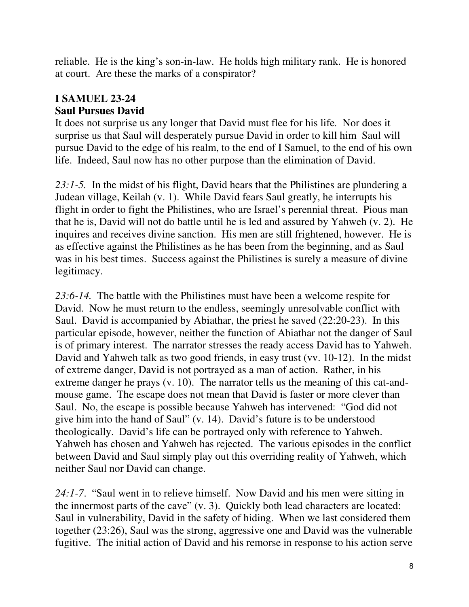reliable. He is the king's son-in-law. He holds high military rank. He is honored at court. Are these the marks of a conspirator?

# **I SAMUEL 23-24 Saul Pursues David**

It does not surprise us any longer that David must flee for his life*.* Nor does it surprise us that Saul will desperately pursue David in order to kill him Saul will pursue David to the edge of his realm, to the end of I Samuel, to the end of his own life. Indeed, Saul now has no other purpose than the elimination of David.

23:1-5. In the midst of his flight, David hears that the Philistines are plundering a Judean village, Keilah (v. 1). While David fears Saul greatly, he interrupts his flight in order to fight the Philistines, who are Israel's perennial threat. Pious man that he is, David will not do battle until he is led and assured by Yahweh (v. 2). He inquires and receives divine sanction. His men are still frightened, however. He is as effective against the Philistines as he has been from the beginning, and as Saul was in his best times. Success against the Philistines is surely a measure of divine legitimacy.

*23:6-14.* The battle with the Philistines must have been a welcome respite for David. Now he must return to the endless, seemingly unresolvable conflict with Saul. David is accompanied by Abiathar, the priest he saved (22:20-23). In this particular episode, however, neither the function of Abiathar not the danger of Saul is of primary interest. The narrator stresses the ready access David has to Yahweh. David and Yahweh talk as two good friends, in easy trust (vv. 10-12). In the midst of extreme danger, David is not portrayed as a man of action. Rather, in his extreme danger he prays (v. 10). The narrator tells us the meaning of this cat-andmouse game. The escape does not mean that David is faster or more clever than Saul. No, the escape is possible because Yahweh has intervened: "God did not give him into the hand of Saul" (v. 14). David's future is to be understood theologically. David's life can be portrayed only with reference to Yahweh. Yahweh has chosen and Yahweh has rejected. The various episodes in the conflict between David and Saul simply play out this overriding reality of Yahweh, which neither Saul nor David can change.

*24:1-7*. "Saul went in to relieve himself. Now David and his men were sitting in the innermost parts of the cave" (v. 3). Quickly both lead characters are located: Saul in vulnerability, David in the safety of hiding. When we last considered them together (23:26), Saul was the strong, aggressive one and David was the vulnerable fugitive. The initial action of David and his remorse in response to his action serve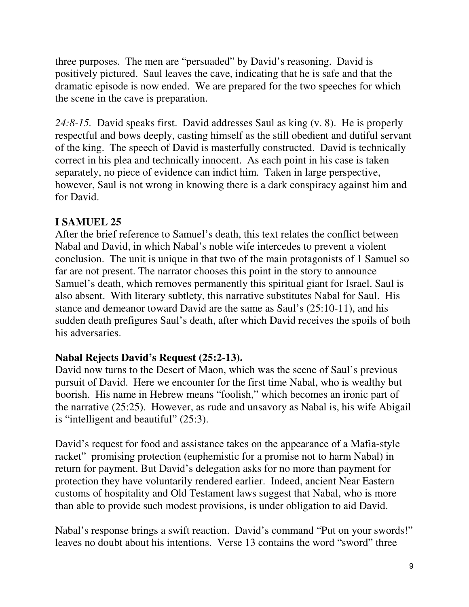three purposes. The men are "persuaded" by David's reasoning. David is positively pictured. Saul leaves the cave, indicating that he is safe and that the dramatic episode is now ended. We are prepared for the two speeches for which the scene in the cave is preparation.

*24:8-15.* David speaks first. David addresses Saul as king (v. 8). He is properly respectful and bows deeply, casting himself as the still obedient and dutiful servant of the king. The speech of David is masterfully constructed. David is technically correct in his plea and technically innocent. As each point in his case is taken separately, no piece of evidence can indict him. Taken in large perspective, however, Saul is not wrong in knowing there is a dark conspiracy against him and for David.

# **I SAMUEL 25**

After the brief reference to Samuel's death, this text relates the conflict between Nabal and David, in which Nabal's noble wife intercedes to prevent a violent conclusion. The unit is unique in that two of the main protagonists of 1 Samuel so far are not present. The narrator chooses this point in the story to announce Samuel's death, which removes permanently this spiritual giant for Israel. Saul is also absent. With literary subtlety, this narrative substitutes Nabal for Saul. His stance and demeanor toward David are the same as Saul's (25:10-11), and his sudden death prefigures Saul's death, after which David receives the spoils of both his adversaries.

# **Nabal Rejects David's Request (25:2-13).**

David now turns to the Desert of Maon, which was the scene of Saul's previous pursuit of David. Here we encounter for the first time Nabal, who is wealthy but boorish. His name in Hebrew means "foolish," which becomes an ironic part of the narrative (25:25). However, as rude and unsavory as Nabal is, his wife Abigail is "intelligent and beautiful" (25:3).

David's request for food and assistance takes on the appearance of a Mafia-style racket" promising protection (euphemistic for a promise not to harm Nabal) in return for payment. But David's delegation asks for no more than payment for protection they have voluntarily rendered earlier. Indeed, ancient Near Eastern customs of hospitality and Old Testament laws suggest that Nabal, who is more than able to provide such modest provisions, is under obligation to aid David.

Nabal's response brings a swift reaction. David's command "Put on your swords!" leaves no doubt about his intentions. Verse 13 contains the word "sword" three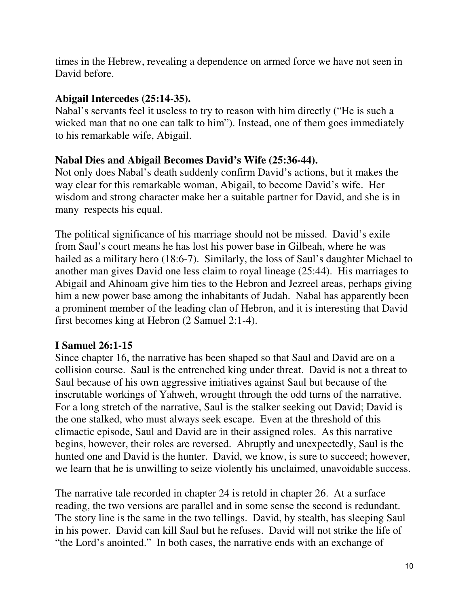times in the Hebrew, revealing a dependence on armed force we have not seen in David before.

#### **Abigail Intercedes (25:14-35).**

Nabal's servants feel it useless to try to reason with him directly ("He is such a wicked man that no one can talk to him"). Instead, one of them goes immediately to his remarkable wife, Abigail.

## **Nabal Dies and Abigail Becomes David's Wife (25:36-44).**

Not only does Nabal's death suddenly confirm David's actions, but it makes the way clear for this remarkable woman, Abigail, to become David's wife. Her wisdom and strong character make her a suitable partner for David, and she is in many respects his equal.

The political significance of his marriage should not be missed. David's exile from Saul's court means he has lost his power base in Gilbeah, where he was hailed as a military hero (18:6-7). Similarly, the loss of Saul's daughter Michael to another man gives David one less claim to royal lineage (25:44). His marriages to Abigail and Ahinoam give him ties to the Hebron and Jezreel areas, perhaps giving him a new power base among the inhabitants of Judah. Nabal has apparently been a prominent member of the leading clan of Hebron, and it is interesting that David first becomes king at Hebron (2 Samuel 2:1-4).

# **I Samuel 26:1-15**

Since chapter 16, the narrative has been shaped so that Saul and David are on a collision course. Saul is the entrenched king under threat. David is not a threat to Saul because of his own aggressive initiatives against Saul but because of the inscrutable workings of Yahweh, wrought through the odd turns of the narrative. For a long stretch of the narrative, Saul is the stalker seeking out David; David is the one stalked, who must always seek escape. Even at the threshold of this climactic episode, Saul and David are in their assigned roles. As this narrative begins, however, their roles are reversed. Abruptly and unexpectedly, Saul is the hunted one and David is the hunter. David, we know, is sure to succeed; however, we learn that he is unwilling to seize violently his unclaimed, unavoidable success.

The narrative tale recorded in chapter 24 is retold in chapter 26. At a surface reading, the two versions are parallel and in some sense the second is redundant. The story line is the same in the two tellings. David, by stealth, has sleeping Saul in his power. David can kill Saul but he refuses. David will not strike the life of "the Lord's anointed." In both cases, the narrative ends with an exchange of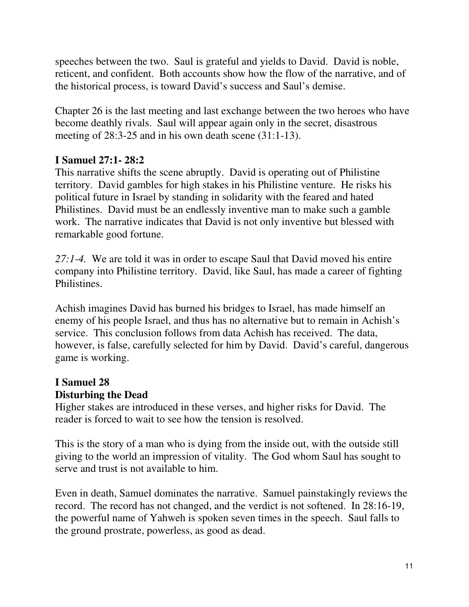speeches between the two. Saul is grateful and yields to David. David is noble, reticent, and confident. Both accounts show how the flow of the narrative, and of the historical process, is toward David's success and Saul's demise.

Chapter 26 is the last meeting and last exchange between the two heroes who have become deathly rivals. Saul will appear again only in the secret, disastrous meeting of 28:3-25 and in his own death scene (31:1-13).

## **I Samuel 27:1- 28:2**

This narrative shifts the scene abruptly. David is operating out of Philistine territory. David gambles for high stakes in his Philistine venture. He risks his political future in Israel by standing in solidarity with the feared and hated Philistines. David must be an endlessly inventive man to make such a gamble work. The narrative indicates that David is not only inventive but blessed with remarkable good fortune.

*27:1-4.* We are told it was in order to escape Saul that David moved his entire company into Philistine territory. David, like Saul, has made a career of fighting Philistines.

Achish imagines David has burned his bridges to Israel, has made himself an enemy of his people Israel, and thus has no alternative but to remain in Achish's service. This conclusion follows from data Achish has received. The data, however, is false, carefully selected for him by David. David's careful, dangerous game is working.

# **I Samuel 28**

# **Disturbing the Dead**

Higher stakes are introduced in these verses, and higher risks for David. The reader is forced to wait to see how the tension is resolved.

This is the story of a man who is dying from the inside out, with the outside still giving to the world an impression of vitality. The God whom Saul has sought to serve and trust is not available to him.

Even in death, Samuel dominates the narrative. Samuel painstakingly reviews the record. The record has not changed, and the verdict is not softened. In 28:16-19, the powerful name of Yahweh is spoken seven times in the speech. Saul falls to the ground prostrate, powerless, as good as dead.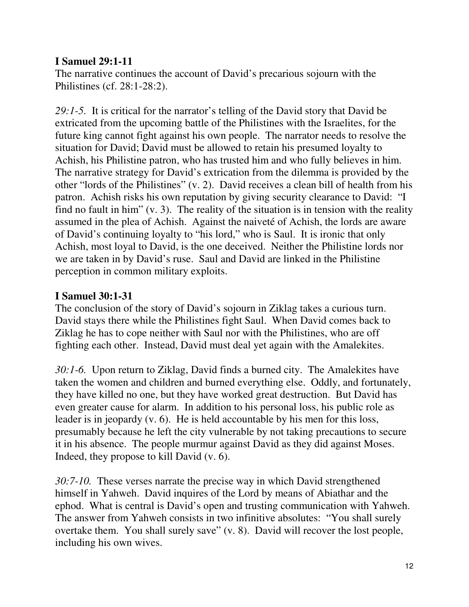## **I Samuel 29:1-11**

The narrative continues the account of David's precarious sojourn with the Philistines (cf. 28:1-28:2).

*29:1-5.* It is critical for the narrator's telling of the David story that David be extricated from the upcoming battle of the Philistines with the Israelites, for the future king cannot fight against his own people. The narrator needs to resolve the situation for David; David must be allowed to retain his presumed loyalty to Achish, his Philistine patron, who has trusted him and who fully believes in him. The narrative strategy for David's extrication from the dilemma is provided by the other "lords of the Philistines" (v. 2). David receives a clean bill of health from his patron. Achish risks his own reputation by giving security clearance to David: "I find no fault in him" (v. 3). The reality of the situation is in tension with the reality assumed in the plea of Achish. Against the naiveté of Achish, the lords are aware of David's continuing loyalty to "his lord," who is Saul. It is ironic that only Achish, most loyal to David, is the one deceived. Neither the Philistine lords nor we are taken in by David's ruse. Saul and David are linked in the Philistine perception in common military exploits.

## **I Samuel 30:1-31**

The conclusion of the story of David's sojourn in Ziklag takes a curious turn. David stays there while the Philistines fight Saul. When David comes back to Ziklag he has to cope neither with Saul nor with the Philistines, who are off fighting each other. Instead, David must deal yet again with the Amalekites.

*30:1-6.* Upon return to Ziklag, David finds a burned city. The Amalekites have taken the women and children and burned everything else. Oddly, and fortunately, they have killed no one, but they have worked great destruction. But David has even greater cause for alarm. In addition to his personal loss, his public role as leader is in jeopardy (v. 6). He is held accountable by his men for this loss, presumably because he left the city vulnerable by not taking precautions to secure it in his absence. The people murmur against David as they did against Moses. Indeed, they propose to kill David (v. 6).

*30:7-10.* These verses narrate the precise way in which David strengthened himself in Yahweh. David inquires of the Lord by means of Abiathar and the ephod. What is central is David's open and trusting communication with Yahweh. The answer from Yahweh consists in two infinitive absolutes: "You shall surely overtake them. You shall surely save" (v. 8). David will recover the lost people, including his own wives.